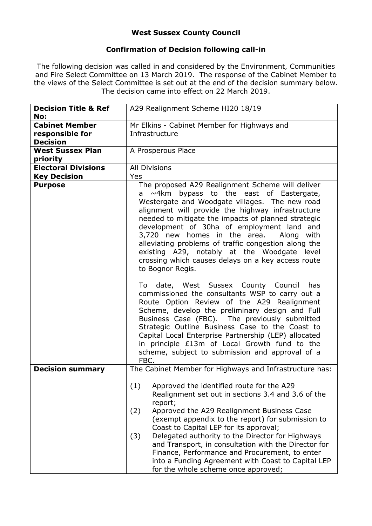## **West Sussex County Council**

## **Confirmation of Decision following call-in**

The following decision was called in and considered by the Environment, Communities and Fire Select Committee on 13 March 2019. The response of the Cabinet Member to the views of the Select Committee is set out at the end of the decision summary below. The decision came into effect on 22 March 2019.

| <b>Decision Title &amp; Ref</b><br>No:                      | A29 Realignment Scheme HI20 18/19                                                                                                                                                                                                                                                                                                                                                                                                                                                                                                                                                                                                                                                               |  |  |
|-------------------------------------------------------------|-------------------------------------------------------------------------------------------------------------------------------------------------------------------------------------------------------------------------------------------------------------------------------------------------------------------------------------------------------------------------------------------------------------------------------------------------------------------------------------------------------------------------------------------------------------------------------------------------------------------------------------------------------------------------------------------------|--|--|
| <b>Cabinet Member</b><br>responsible for<br><b>Decision</b> | Mr Elkins - Cabinet Member for Highways and<br>Infrastructure                                                                                                                                                                                                                                                                                                                                                                                                                                                                                                                                                                                                                                   |  |  |
| <b>West Sussex Plan</b><br>priority                         | A Prosperous Place                                                                                                                                                                                                                                                                                                                                                                                                                                                                                                                                                                                                                                                                              |  |  |
| <b>Electoral Divisions</b>                                  | <b>All Divisions</b>                                                                                                                                                                                                                                                                                                                                                                                                                                                                                                                                                                                                                                                                            |  |  |
| <b>Key Decision</b>                                         | Yes                                                                                                                                                                                                                                                                                                                                                                                                                                                                                                                                                                                                                                                                                             |  |  |
| <b>Purpose</b>                                              | The proposed A29 Realignment Scheme will deliver<br>bypass to the east of Eastergate,<br>$\sim$ 4km<br>a<br>Westergate and Woodgate villages. The new road<br>alignment will provide the highway infrastructure<br>needed to mitigate the impacts of planned strategic<br>development of 30ha of employment land and<br>3,720 new homes in the area.<br>Along with<br>alleviating problems of traffic congestion along the<br>existing A29, notably at the Woodgate level<br>crossing which causes delays on a key access route<br>to Bognor Regis.<br>To date, West Sussex County Council has<br>commissioned the consultants WSP to carry out a<br>Route Option Review of the A29 Realignment |  |  |
|                                                             | Scheme, develop the preliminary design and Full<br>Business Case (FBC). The previously submitted<br>Strategic Outline Business Case to the Coast to<br>Capital Local Enterprise Partnership (LEP) allocated<br>in principle £13m of Local Growth fund to the<br>scheme, subject to submission and approval of a<br>FBC.                                                                                                                                                                                                                                                                                                                                                                         |  |  |
| <b>Decision summary</b>                                     | The Cabinet Member for Highways and Infrastructure has:                                                                                                                                                                                                                                                                                                                                                                                                                                                                                                                                                                                                                                         |  |  |
|                                                             | Approved the identified route for the A29<br>(1)<br>Realignment set out in sections 3.4 and 3.6 of the<br>report;<br>(2)<br>Approved the A29 Realignment Business Case<br>(exempt appendix to the report) for submission to<br>Coast to Capital LEP for its approval;<br>Delegated authority to the Director for Highways<br>(3)<br>and Transport, in consultation with the Director for<br>Finance, Performance and Procurement, to enter<br>into a Funding Agreement with Coast to Capital LEP<br>for the whole scheme once approved;                                                                                                                                                         |  |  |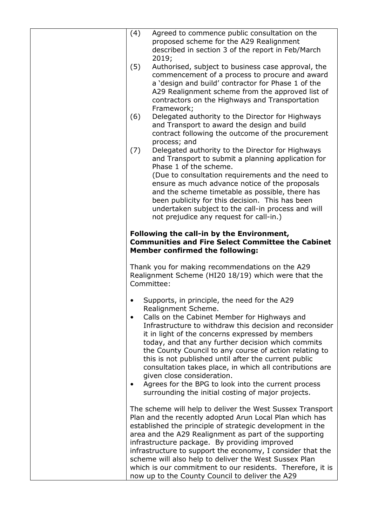| (4)       | Agreed to commence public consultation on the<br>proposed scheme for the A29 Realignment                                                                                                                                                                                                                                                                                                                                                                                                                                             |
|-----------|--------------------------------------------------------------------------------------------------------------------------------------------------------------------------------------------------------------------------------------------------------------------------------------------------------------------------------------------------------------------------------------------------------------------------------------------------------------------------------------------------------------------------------------|
|           | described in section 3 of the report in Feb/March<br>2019;                                                                                                                                                                                                                                                                                                                                                                                                                                                                           |
| (5)       | Authorised, subject to business case approval, the<br>commencement of a process to procure and award<br>a 'design and build' contractor for Phase 1 of the<br>A29 Realignment scheme from the approved list of<br>contractors on the Highways and Transportation                                                                                                                                                                                                                                                                     |
| (6)       | Framework;<br>Delegated authority to the Director for Highways<br>and Transport to award the design and build<br>contract following the outcome of the procurement<br>process; and                                                                                                                                                                                                                                                                                                                                                   |
| (7)       | Delegated authority to the Director for Highways<br>and Transport to submit a planning application for<br>Phase 1 of the scheme.                                                                                                                                                                                                                                                                                                                                                                                                     |
|           | (Due to consultation requirements and the need to<br>ensure as much advance notice of the proposals<br>and the scheme timetable as possible, there has<br>been publicity for this decision. This has been<br>undertaken subject to the call-in process and will<br>not prejudice any request for call-in.)                                                                                                                                                                                                                           |
|           | Following the call-in by the Environment,<br><b>Communities and Fire Select Committee the Cabinet</b><br><b>Member confirmed the following:</b>                                                                                                                                                                                                                                                                                                                                                                                      |
|           | Thank you for making recommendations on the A29<br>Realignment Scheme (HI20 18/19) which were that the<br>Committee:                                                                                                                                                                                                                                                                                                                                                                                                                 |
| $\bullet$ | Supports, in principle, the need for the A29<br>Realignment Scheme.<br>Calls on the Cabinet Member for Highways and                                                                                                                                                                                                                                                                                                                                                                                                                  |
|           | Infrastructure to withdraw this decision and reconsider<br>it in light of the concerns expressed by members<br>today, and that any further decision which commits<br>the County Council to any course of action relating to<br>this is not published until after the current public<br>consultation takes place, in which all contributions are<br>given close consideration.<br>Agrees for the BPG to look into the current process                                                                                                 |
|           | surrounding the initial costing of major projects.                                                                                                                                                                                                                                                                                                                                                                                                                                                                                   |
|           | The scheme will help to deliver the West Sussex Transport<br>Plan and the recently adopted Arun Local Plan which has<br>established the principle of strategic development in the<br>area and the A29 Realignment as part of the supporting<br>infrastructure package. By providing improved<br>infrastructure to support the economy, I consider that the<br>scheme will also help to deliver the West Sussex Plan<br>which is our commitment to our residents. Therefore, it is<br>now up to the County Council to deliver the A29 |